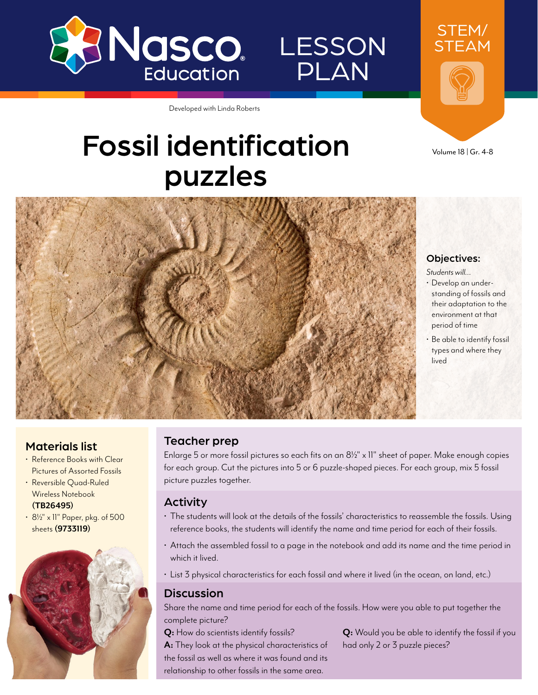

LESSON PLAN

STEAM

STEM/

Developed with Linda Roberts

# Fossil identification puzzles





*Students will…*

- Develop an understanding of fossils and their adaptation to the environment at that period of time
- Be able to identify fossil types and where they lived

## Materials list

- Reference Books with Clear Pictures of Assorted Fossils
- Reversible Quad-Ruled Wireless Notebook **[\(TB26495](http://www.enasco.com/p/TB26495))**
- 81/2" x 11" Paper, pkg. of 500 sheets **[\(9733119](http://www.enasco.com/p/9733119))**



### Teacher prep

Enlarge 5 or more fossil pictures so each fits on an  $8\frac{1}{2}$ " x 11" sheet of paper. Make enough copies for each group. Cut the pictures into 5 or 6 puzzle-shaped pieces. For each group, mix 5 fossil picture puzzles together.

#### Activity

- The students will look at the details of the fossils' characteristics to reassemble the fossils. Using reference books, the students will identify the name and time period for each of their fossils.
- Attach the assembled fossil to a page in the notebook and add its name and the time period in which it lived.
- List 3 physical characteristics for each fossil and where it lived (in the ocean, on land, etc.)

#### **Discussion**

Share the name and time period for each of the fossils. How were you able to put together the complete picture?

**Q:** How do scientists identify fossils? **A:** They look at the physical characteristics of the fossil as well as where it was found and its relationship to other fossils in the same area.

**Q:** Would you be able to identify the fossil if you had only 2 or 3 puzzle pieces?